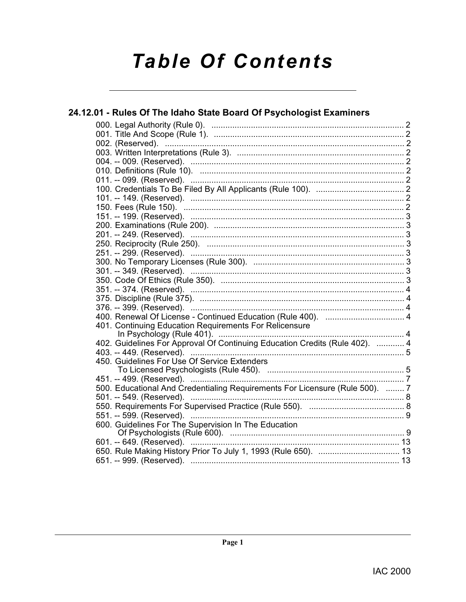# **Table Of Contents**

### 24.12.01 - Rules Of The Idaho State Board Of Psychologist Examiners 401. Continuing Education Requirements For Relicensure 402. Guidelines For Approval Of Continuing Education Credits (Rule 402). ............ 4 450. Guidelines For Use Of Service Extenders 500. Educational And Credentialing Requirements For Licensure (Rule 500). ........ 7 600. Guidelines For The Supervision In The Education

Page 1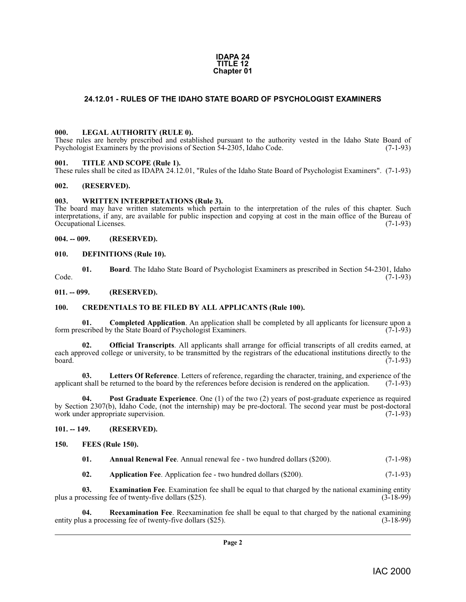#### **IDAPA 24 TITLE 12 Chapter 01**

#### <span id="page-1-19"></span><span id="page-1-0"></span>**24.12.01 - RULES OF THE IDAHO STATE BOARD OF PSYCHOLOGIST EXAMINERS**

#### <span id="page-1-1"></span>**000. LEGAL AUTHORITY (RULE 0).**

These rules are hereby prescribed and established pursuant to the authority vested in the Idaho State Board of Psychologist Examiners by the provisions of Section 54-2305, Idaho Code. (7-1-93)

#### <span id="page-1-24"></span><span id="page-1-2"></span>**001. TITLE AND SCOPE (Rule 1).**

These rules shall be cited as IDAPA 24.12.01, "Rules of the Idaho State Board of Psychologist Examiners". (7-1-93)

#### <span id="page-1-3"></span>**002. (RESERVED).**

#### <span id="page-1-25"></span><span id="page-1-4"></span>**003. WRITTEN INTERPRETATIONS (Rule 3).**

The board may have written statements which pertain to the interpretation of the rules of this chapter. Such interpretations, if any, are available for public inspection and copying at cost in the main office of the Bureau of Occupational Licenses. (7-1-93)

<span id="page-1-5"></span>**004. -- 009. (RESERVED).**

#### <span id="page-1-16"></span><span id="page-1-6"></span>**010. DEFINITIONS (Rule 10).**

<span id="page-1-13"></span>**01. Board**. The Idaho State Board of Psychologist Examiners as prescribed in Section 54-2301, Idaho Code. (7-1-93)

<span id="page-1-7"></span>**011. -- 099. (RESERVED).**

#### <span id="page-1-15"></span><span id="page-1-8"></span>**100. CREDENTIALS TO BE FILED BY ALL APPLICANTS (Rule 100).**

<span id="page-1-14"></span>**01. Completed Application**. An application shall be completed by all applicants for licensure upon a scribed by the State Board of Psychologist Examiners. (7-1-93) form prescribed by the State Board of Psychologist Examiners.

<span id="page-1-21"></span>**02. Official Transcripts**. All applicants shall arrange for official transcripts of all credits earned, at each approved college or university, to be transmitted by the registrars of the educational institutions directly to the board. (7-1-93)

<span id="page-1-20"></span>**03.** Letters Of Reference. Letters of reference, regarding the character, training, and experience of the shall be returned to the board by the references before decision is rendered on the application. (7-1-93) applicant shall be returned to the board by the references before decision is rendered on the application.

<span id="page-1-22"></span>**Post Graduate Experience**. One (1) of the two (2) years of post-graduate experience as required by Section 2307(b), Idaho Code, (not the internship) may be pre-doctoral. The second year must be post-doctoral work under appropriate supervision.

#### <span id="page-1-9"></span>**101. -- 149. (RESERVED).**

<span id="page-1-10"></span>**150. FEES (Rule 150).**

<span id="page-1-18"></span><span id="page-1-11"></span>

| 01. | <b>Annual Renewal Fee.</b> Annual renewal fee - two hundred dollars (\$200). | $(7-1-98)$ |
|-----|------------------------------------------------------------------------------|------------|
|-----|------------------------------------------------------------------------------|------------|

<span id="page-1-23"></span><span id="page-1-17"></span><span id="page-1-12"></span>**02. Application Fee**. Application fee - two hundred dollars (\$200). (7-1-93)

**03. Examination Fee**. Examination fee shall be equal to that charged by the national examining entity ocessing fee of twenty-five dollars (\$25). plus a processing fee of twenty-five dollars (\$25).

**04. Reexamination Fee**. Reexamination fee shall be equal to that charged by the national examining entity plus a processing fee of twenty-five dollars (\$25). (3-18-99)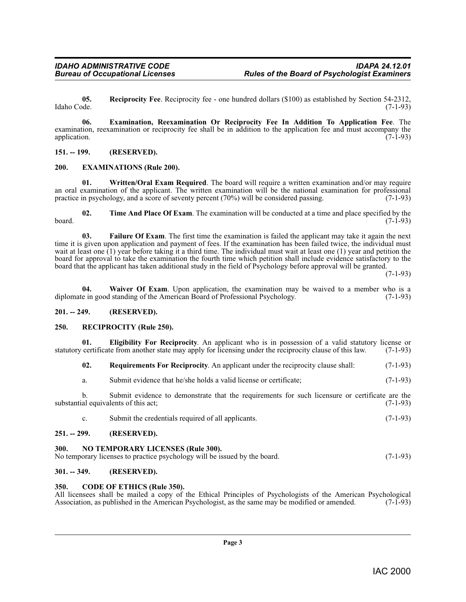<span id="page-2-15"></span>**05. Reciprocity Fee**. Reciprocity fee - one hundred dollars (\$100) as established by Section 54-2312, Idaho Code. (7-1-93)

<span id="page-2-10"></span>**06. Examination, Reexamination Or Reciprocity Fee In Addition To Application Fee**. The examination, reexamination or reciprocity fee shall be in addition to the application fee and must accompany the application. (7-1-93) application. (7-1-93)

#### <span id="page-2-0"></span>**151. -- 199. (RESERVED).**

#### <span id="page-2-11"></span><span id="page-2-1"></span>**200. EXAMINATIONS (Rule 200).**

<span id="page-2-19"></span>**01. Written/Oral Exam Required**. The board will require a written examination and/or may require an oral examination of the applicant. The written examination will be the national examination for professional practice in psychology, and a score of seventy percent (70%) will be considered passing. (7-1-93)

<span id="page-2-17"></span>**02.** Time And Place Of Exam. The examination will be conducted at a time and place specified by the (7-1-93)  $\frac{1}{(7-1-93)}$  (7-1-93)

<span id="page-2-12"></span>**03. Failure Of Exam**. The first time the examination is failed the applicant may take it again the next time it is given upon application and payment of fees. If the examination has been failed twice, the individual must wait at least one (1) year before taking it a third time. The individual must wait at least one (1) year and petition the board for approval to take the examination the fourth time which petition shall include evidence satisfactory to the board that the applicant has taken additional study in the field of Psychology before approval will be granted.

(7-1-93)

<span id="page-2-18"></span>**04.** Waiver Of Exam. Upon application, the examination may be waived to a member who is a e in good standing of the American Board of Professional Psychology. (7-1-93) diplomate in good standing of the American Board of Professional Psychology.

#### <span id="page-2-2"></span>**201. -- 249. (RESERVED).**

#### <span id="page-2-14"></span><span id="page-2-3"></span>**250. RECIPROCITY (Rule 250).**

**01. Eligibility For Reciprocity**. An applicant who is in possession of a valid statutory license or certificate from another state may apply for licensing under the reciprocity clause of this law. (7-1-93) statutory certificate from another state may apply for licensing under the reciprocity clause of this law.

<span id="page-2-16"></span><span id="page-2-9"></span>**02. Requirements For Reciprocity**. An applicant under the reciprocity clause shall: (7-1-93)

a. Submit evidence that he/she holds a valid license or certificate; (7-1-93)

b. Submit evidence to demonstrate that the requirements for such licensure or certificate are the substantial equivalents of this act; (7-1-93)

<span id="page-2-13"></span>c. Submit the credentials required of all applicants. (7-1-93)

#### <span id="page-2-4"></span>**251. -- 299. (RESERVED).**

#### <span id="page-2-5"></span>**300. NO TEMPORARY LICENSES (Rule 300).**

| No temporary licenses to practice psychology will be issued by the board. |  | $(7-1-93)$ |
|---------------------------------------------------------------------------|--|------------|

#### <span id="page-2-6"></span>**301. -- 349. (RESERVED).**

#### <span id="page-2-8"></span><span id="page-2-7"></span>**350. CODE OF ETHICS (Rule 350).**

All licensees shall be mailed a copy of the Ethical Principles of Psychologists of the American Psychological Association, as published in the American Psychologist, as the same may be modified or amended. (7-1-93) Association, as published in the American Psychologist, as the same may be modified or amended.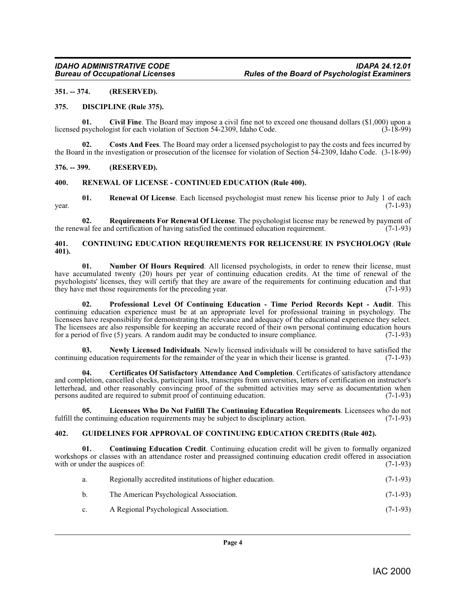#### <span id="page-3-0"></span>**351. -- 374. (RESERVED).**

#### <span id="page-3-11"></span><span id="page-3-1"></span>**375. DISCIPLINE (Rule 375).**

<span id="page-3-7"></span>**01.** Civil Fine. The Board may impose a civil fine not to exceed one thousand dollars (\$1,000) upon a psychologist for each violation of Section 54-2309, Idaho Code. (3-18-99) licensed psychologist for each violation of Section 54-2309, Idaho Code.

<span id="page-3-10"></span>**02. Costs And Fees**. The Board may order a licensed psychologist to pay the costs and fees incurred by the Board in the investigation or prosecution of the licensee for violation of Section 54-2309, Idaho Code. (3-18-99)

#### <span id="page-3-2"></span>**376. -- 399. (RESERVED).**

#### <span id="page-3-17"></span><span id="page-3-3"></span>**400. RENEWAL OF LICENSE - CONTINUED EDUCATION (Rule 400).**

**01. Renewal Of License**. Each licensed psychologist must renew his license prior to July 1 of each  $\mu$  year. (7-1-93)

<span id="page-3-18"></span>**02. Requirements For Renewal Of License**. The psychologist license may be renewed by payment of the renewal fee and certification of having satisfied the continued education requirement. (7-1-93)

#### <span id="page-3-9"></span><span id="page-3-4"></span>**401. CONTINUING EDUCATION REQUIREMENTS FOR RELICENSURE IN PSYCHOLOGY (Rule 401).**

<span id="page-3-15"></span>**01.** Number Of Hours Required. All licensed psychologists, in order to renew their license, must have accumulated twenty (20) hours per year of continuing education credits. At the time of renewal of the psychologists' licenses, they will certify that they are aware of the requirements for continuing education and that they have met those requirements for the preceding year. (7-1-93) they have met those requirements for the preceding year.

<span id="page-3-16"></span>**02. Professional Level Of Continuing Education - Time Period Records Kept - Audit**. This continuing education experience must be at an appropriate level for professional training in psychology. The licensees have responsibility for demonstrating the relevance and adequacy of the educational experience they select. The licensees are also responsible for keeping an accurate record of their own personal continuing education hours for a period of five (5) years. A random audit may be conducted to insure compliance. (7-1-93)

<span id="page-3-14"></span>**03.** Newly Licensed Individuals. Newly licensed individuals will be considered to have satisfied the negative ducation requirements for the remainder of the year in which their license is granted. (7-1-93) continuing education requirements for the remainder of the year in which their license is granted.

<span id="page-3-6"></span>**04. Certificates Of Satisfactory Attendance And Completion**. Certificates of satisfactory attendance and completion, cancelled checks, participant lists, transcripts from universities, letters of certification on instructor's letterhead, and other reasonably convincing proof of the submitted activities may serve as documentation when<br>persons audited are required to submit proof of continuing education. (7-1-93) persons audited are required to submit proof of continuing education.

<span id="page-3-13"></span>**05.** Licensees Who Do Not Fulfill The Continuing Education Requirements. Licensees who do not exercit continuing education requirements may be subject to disciplinary action. (7-1-93) fulfill the continuing education requirements may be subject to disciplinary action.

#### <span id="page-3-12"></span><span id="page-3-5"></span>**402. GUIDELINES FOR APPROVAL OF CONTINUING EDUCATION CREDITS (Rule 402).**

**01. Continuing Education Credit**. Continuing education credit will be given to formally organized workshops or classes with an attendance roster and preassigned continuing education credit offered in association with or under the ausnices of: (7-1-93) with or under the auspices of:

<span id="page-3-8"></span>

| a.             | Regionally accredited institutions of higher education. | $(7-1-93)$ |
|----------------|---------------------------------------------------------|------------|
| b.             | The American Psychological Association.                 | $(7-1-93)$ |
| $\mathbf{c}$ . | A Regional Psychological Association.                   | $(7-1-93)$ |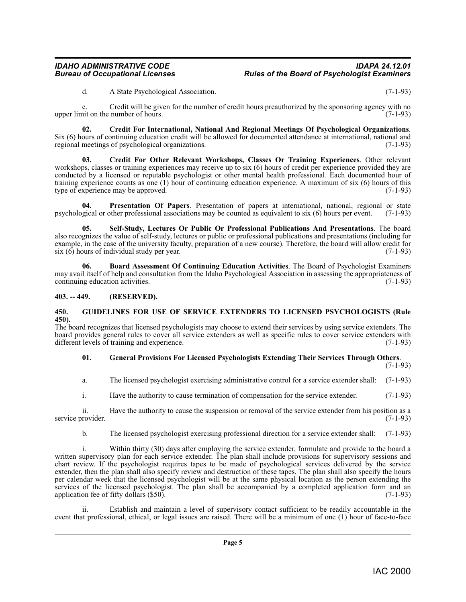<span id="page-4-3"></span>d. A State Psychological Association. (7-1-93)

e. Credit will be given for the number of credit hours preauthorized by the sponsoring agency with no upper limit on the number of hours. (7-1-93)

**02.** Credit For International, National And Regional Meetings Of Psychological Organizations.<br>Six (6) hours of continuing education credit will be allowed for documented attendance at international, national and regional regional meetings of psychological organizations.

<span id="page-4-4"></span>**03. Credit For Other Relevant Workshops, Classes Or Training Experiences**. Other relevant workshops, classes or training experiences may receive up to six (6) hours of credit per experience provided they are conducted by a licensed or reputable psychologist or other mental health professional. Each documented hour of training experience counts as one (1) hour of continuing education experience. A maximum of six (6) hours of this type of experience may be approved.  $(7-1-93)$ type of experience may be approved.

<span id="page-4-7"></span>**04.** Presentation Of Papers. Presentation of papers at international, national, regional or state gical or other professional associations may be counted as equivalent to six (6) hours per event. (7-1-93) psychological or other professional associations may be counted as equivalent to six  $(6)$  hours per event.

<span id="page-4-8"></span>**05. Self-Study, Lectures Or Public Or Professional Publications And Presentations**. The board also recognizes the value of self-study, lectures or public or professional publications and presentations (including for example, in the case of the university faculty, preparation of a new course). Therefore, the board will allow credit for  $\sin(6)$  hours of individual study per year. (7-1-93)

<span id="page-4-2"></span>**06. Board Assessment Of Continuing Education Activities**. The Board of Psychologist Examiners may avail itself of help and consultation from the Idaho Psychological Association in assessing the appropriateness of continuing education activities. (7-1-93) continuing education activities.

### <span id="page-4-0"></span>**403. -- 449. (RESERVED).**

#### <span id="page-4-6"></span><span id="page-4-1"></span>**450. GUIDELINES FOR USE OF SERVICE EXTENDERS TO LICENSED PSYCHOLOGISTS (Rule 450).**

The board recognizes that licensed psychologists may choose to extend their services by using service extenders. The board provides general rules to cover all service extenders as well as specific rules to cover service extenders with different levels of training and experience. (7-1-93)

#### <span id="page-4-5"></span>**01. General Provisions For Licensed Psychologists Extending Their Services Through Others**.

(7-1-93)

a. The licensed psychologist exercising administrative control for a service extender shall: (7-1-93)

i. Have the authority to cause termination of compensation for the service extender. (7-1-93)

ii. Have the authority to cause the suspension or removal of the service extender from his position as a rovider. (7-1-93) service provider.

b. The licensed psychologist exercising professional direction for a service extender shall: (7-1-93)

Within thirty (30) days after employing the service extender, formulate and provide to the board a written supervisory plan for each service extender. The plan shall include provisions for supervisory sessions and chart review. If the psychologist requires tapes to be made of psychological services delivered by the service extender, then the plan shall also specify review and destruction of these tapes. The plan shall also specify the hours per calendar week that the licensed psychologist will be at the same physical location as the person extending the services of the licensed psychologist. The plan shall be accompanied by a completed application form and an application fee of fifty dollars  $(\$50)$ . (7-1-93)

Establish and maintain a level of supervisory contact sufficient to be readily accountable in the event that professional, ethical, or legal issues are raised. There will be a minimum of one (1) hour of face-to-face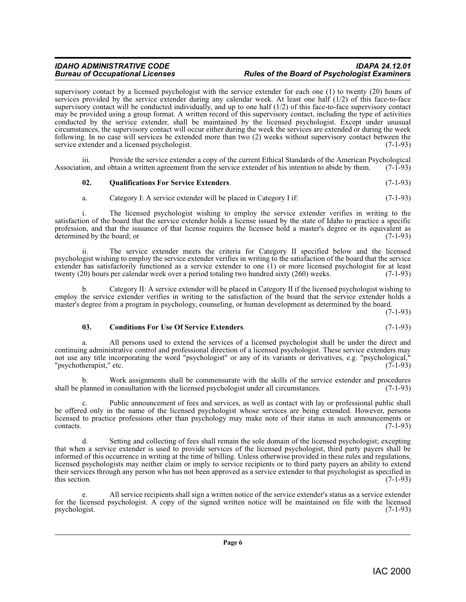supervisory contact by a licensed psychologist with the service extender for each one (1) to twenty (20) hours of services provided by the service extender during any calendar week. At least one half (1/2) of this face-to-face supervisory contact will be conducted individually, and up to one half (1/2) of this face-to-face supervisory contact may be provided using a group format. A written record of this supervisory contact, including the type of activities conducted by the service extender, shall be maintained by the licensed psychologist. Except under unusual circumstances, the supervisory contact will occur either during the week the services are extended or during the week following. In no case will services be extended more than two  $(2)$  weeks without supervisory contact between the service extender and a licensed psychologist.  $(7-1-93)$ service extender and a licensed psychologist.

Provide the service extender a copy of the current Ethical Standards of the American Psychological obtain a written agreement from the service extender of his intention to abide by them. (7-1-93) Association, and obtain a written agreement from the service extender of his intention to abide by them.

#### <span id="page-5-1"></span>**02. Qualifications For Service Extenders**. (7-1-93)

a. Category I: A service extender will be placed in Category I if: (7-1-93)

i. The licensed psychologist wishing to employ the service extender verifies in writing to the satisfaction of the board that the service extender holds a license issued by the state of Idaho to practice a specific profession, and that the issuance of that license requires the licensee hold a master's degree or its equivalent as determined by the board; or (7-1-93)

ii. The service extender meets the criteria for Category II specified below and the licensed psychologist wishing to employ the service extender verifies in writing to the satisfaction of the board that the service extender has satisfactorily functioned as a service extender to one (1) or more licensed psychologist for at least twenty (20) hours per calendar week over a period totaling two hundred sixty (260) weeks. (7-1-93)

b. Category II: A service extender will be placed in Category II if the licensed psychologist wishing to employ the service extender verifies in writing to the satisfaction of the board that the service extender holds a master's degree from a program in psychology, counseling, or human development as determined by the board.

(7-1-93)

#### <span id="page-5-0"></span>**03. Conditions For Use Of Service Extenders**. (7-1-93)

All persons used to extend the services of a licensed psychologist shall be under the direct and continuing administrative control and professional direction of a licensed psychologist. These service extenders may not use any title incorporating the word "psychologist" or any of its variants or derivatives, e.g. "psychological," "psychotherapist," etc. (7-1-93)

Work assignments shall be commensurate with the skills of the service extender and procedures n consultation with the licensed psychologist under all circumstances. (7-1-93) shall be planned in consultation with the licensed psychologist under all circumstances.

c. Public announcement of fees and services, as well as contact with lay or professional public shall be offered only in the name of the licensed psychologist whose services are being extended. However, persons licensed to practice professions other than psychology may make note of their status in such announcements or contacts. (7-1-93)  $\text{constants.}$  (7-1-93)

d. Setting and collecting of fees shall remain the sole domain of the licensed psychologist; excepting that when a service extender is used to provide services of the licensed psychologist, third party payers shall be informed of this occurrence in writing at the time of billing. Unless otherwise provided in these rules and regulations, licensed psychologists may neither claim or imply to service recipients or to third party payers an ability to extend their services through any person who has not been approved as a service extender to that psychologist as specified in this section.  $(7-1-93)$ 

e. All service recipients shall sign a written notice of the service extender's status as a service extender for the licensed psychologist. A copy of the signed written notice will be maintained on file with the licensed psychologist.  $(7-1-93)$ psychologist.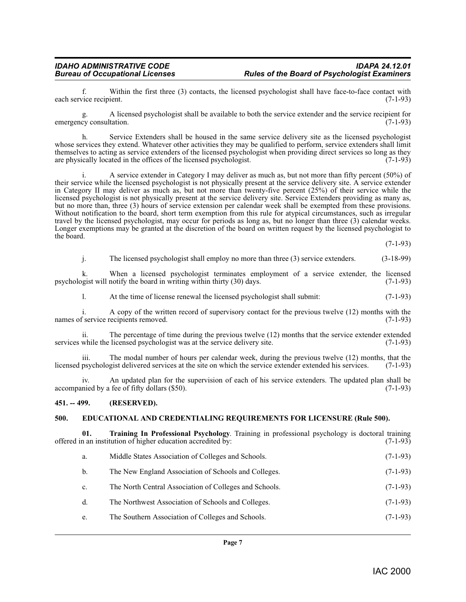f. Within the first three (3) contacts, the licensed psychologist shall have face-to-face contact with  $(7-1-93)$ each service recipient.

g. A licensed psychologist shall be available to both the service extender and the service recipient for emergency consultation.

h. Service Extenders shall be housed in the same service delivery site as the licensed psychologist whose services they extend. Whatever other activities they may be qualified to perform, service extenders shall limit themselves to acting as service extenders of the licensed psychologist when providing direct services so long as they are physically located in the offices of the licensed psychologist.  $(7-1-93)$ 

A service extender in Category I may deliver as much as, but not more than fifty percent (50%) of their service while the licensed psychologist is not physically present at the service delivery site. A service extender in Category II may deliver as much as, but not more than twenty-five percent (25%) of their service while the licensed psychologist is not physically present at the service delivery site. Service Extenders providing as many as, but no more than, three (3) hours of service extension per calendar week shall be exempted from these provisions. Without notification to the board, short term exemption from this rule for atypical circumstances, such as irregular travel by the licensed psychologist, may occur for periods as long as, but no longer than three (3) calendar weeks. Longer exemptions may be granted at the discretion of the board on written request by the licensed psychologist to the board.

(7-1-93)

j. The licensed psychologist shall employ no more than three (3) service extenders. (3-18-99)

k. When a licensed psychologist terminates employment of a service extender, the licensed opist will notify the board in writing within thirty (30) days.  $(7-1-93)$ psychologist will notify the board in writing within thirty  $(30)$  days.

l. At the time of license renewal the licensed psychologist shall submit: (7-1-93)

i. A copy of the written record of supervisory contact for the previous twelve (12) months with the names of service recipients removed. (7-1-93)

ii. The percentage of time during the previous twelve (12) months that the service extender extended services while the licensed psychologist was at the service delivery site. (7-1-93)

iii. The modal number of hours per calendar week, during the previous twelve (12) months, that the licensed psychologist delivered services at the site on which the service extender extended his services. (7-1-93)

iv. An updated plan for the supervision of each of his service extenders. The updated plan shall be accompanied by a fee of fifty dollars (\$50).

#### <span id="page-6-0"></span>**451. -- 499. (RESERVED).**

#### <span id="page-6-2"></span><span id="page-6-1"></span>**500. EDUCATIONAL AND CREDENTIALING REQUIREMENTS FOR LICENSURE (Rule 500).**

**01. Training In Professional Psychology**. Training in professional psychology is doctoral training offered in an institution of higher education accredited by:

- <span id="page-6-3"></span>a. Middle States Association of Colleges and Schools. (7-1-93)
- b. The New England Association of Schools and Colleges. (7-1-93)
- c. The North Central Association of Colleges and Schools. (7-1-93)
- d. The Northwest Association of Schools and Colleges. (7-1-93)
- e. The Southern Association of Colleges and Schools. (7-1-93)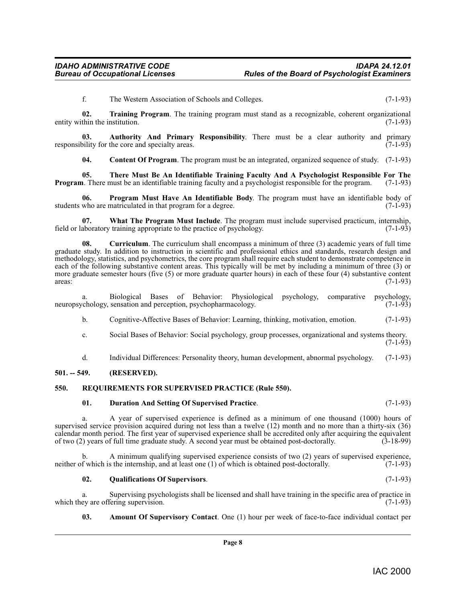<span id="page-7-11"></span>f. The Western Association of Schools and Colleges. (7-1-93)

**02. Training Program**. The training program must stand as a recognizable, coherent organizational thin the institution. (7-1-93) entity within the institution.

**03.** Authority And Primary Responsibility. There must be a clear authority and primary bility for the core and specialty areas. responsibility for the core and specialty areas.

<span id="page-7-10"></span><span id="page-7-7"></span><span id="page-7-4"></span><span id="page-7-3"></span>**04. Content Of Program**. The program must be an integrated, organized sequence of study. (7-1-93)

**05.** There Must Be An Identifiable Training Faculty And A Psychologist Responsible For The <br>**1.** There must be an identifiable training faculty and a psychologist responsible for the program. (7-1-93) **Program**. There must be an identifiable training faculty and a psychologist responsible for the program.

**06. Program Must Have An Identifiable Body**. The program must have an identifiable body of who are matriculated in that program for a degree. (7-1-93) students who are matriculated in that program for a degree.

<span id="page-7-12"></span>**07. What The Program Must Include**. The program must include supervised practicum, internship, field or laboratory training appropriate to the practice of psychology. (7-1-93)

<span id="page-7-5"></span>**08.** Curriculum. The curriculum shall encompass a minimum of three (3) academic years of full time graduate study. In addition to instruction in scientific and professional ethics and standards, research design and methodology, statistics, and psychometrics, the core program shall require each student to demonstrate competence in each of the following substantive content areas. This typically will be met by including a minimum of three (3) or more graduate semester hours (five  $(5)$  or more graduate quarter hours) in each of these four  $(4)$  substantive content areas: areas:  $(7-1-93)$ 

a. Biological Bases of Behavior: Physiological psychology, comparative psychology, chology, sensation and perception, psychopharmacology. (7-1-93) neuropsychology, sensation and perception, psychopharmacology.

b. Cognitive-Affective Bases of Behavior: Learning, thinking, motivation, emotion. (7-1-93)

- c. Social Bases of Behavior: Social psychology, group processes, organizational and systems theory. (7-1-93)
- d. Individual Differences: Personality theory, human development, abnormal psychology. (7-1-93)

#### <span id="page-7-0"></span>**501. -- 549. (RESERVED).**

#### <span id="page-7-1"></span>**550. REQUIREMENTS FOR SUPERVISED PRACTICE (Rule 550).**

#### <span id="page-7-9"></span><span id="page-7-6"></span>**01. Duration And Setting Of Supervised Practice**. (7-1-93)

a. A year of supervised experience is defined as a minimum of one thousand (1000) hours of supervised service provision acquired during not less than a twelve (12) month and no more than a thirty-six (36) calendar month period. The first year of supervised experience shall be accredited only after acquiring the equivalent of two (2) years of full time graduate study. A second year must be obtained post-doctorally. (3-18-99) of two  $(2)$  years of full time graduate study. A second year must be obtained post-doctorally.

A minimum qualifying supervised experience consists of two  $(2)$  years of supervised experience, s the internship, and at least one  $(1)$  of which is obtained post-doctorally.  $(7-1-93)$ neither of which is the internship, and at least one  $(1)$  of which is obtained post-doctorally.

#### <span id="page-7-8"></span>**02. Qualifications Of Supervisors**. (7-1-93)

a. Supervising psychologists shall be licensed and shall have training in the specific area of practice in ey are offering supervision. (7-1-93) which they are offering supervision.

<span id="page-7-2"></span>**03. Amount Of Supervisory Contact**. One (1) hour per week of face-to-face individual contact per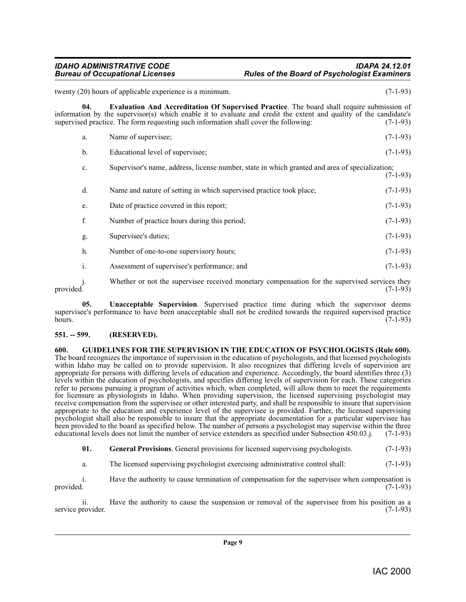<span id="page-8-2"></span>twenty (20) hours of applicable experience is a minimum. (7-1-93) **04. Evaluation And Accreditation Of Supervised Practice**. The board shall require submission of information by the supervisor(s) which enable it to evaluate and credit the extent and quality of the candidate's supervised practice. The form requesting such information shall cover the following:  $(7-1-93)$ supervised practice. The form requesting such information shall cover the following: a. Name of supervisee; (7-1-93) b. Educational level of supervisee; (7-1-93) c. Supervisor's name, address, license number, state in which granted and area of specialization;  $(7-1-93)$ d. Name and nature of setting in which supervised practice took place; (7-1-93) e. Date of practice covered in this report; (7-1-93) f. Number of practice hours during this period; (7-1-93) g. Supervisee's duties; (7-1-93) h. Number of one-to-one supervisory hours; (7-1-93) i. Assessment of supervisee's performance; and (7-1-93)

j. Whether or not the supervisee received monetary compensation for the supervised services they provided. (7-1-93) provided.  $(7-1-93)$ 

<span id="page-8-4"></span>**05. Unacceptable Supervision**. Supervised practice time during which the supervisor deems supervisee's performance to have been unacceptable shall not be credited towards the required supervised practice hours. (7-1-93) hours.  $(7-1-93)$ 

#### <span id="page-8-0"></span>**551. -- 599. (RESERVED).**

<span id="page-8-3"></span><span id="page-8-1"></span>**600. GUIDELINES FOR THE SUPERVISION IN THE EDUCATION OF PSYCHOLOGISTS (Rule 600).** The board recognizes the importance of supervision in the education of psychologists, and that licensed psychologists within Idaho may be called on to provide supervision. It also recognizes that differing levels of supervision are appropriate for persons with differing levels of education and experience. Accordingly, the board identifies three (3) levels within the education of psychologists, and specifies differing levels of supervision for each. These categories refer to persons pursuing a program of activities which, when completed, will allow them to meet the requirements for licensure as physiologists in Idaho. When providing supervision, the licensed supervising psychologist may receive compensation from the supervisee or other interested party, and shall be responsible to insure that supervision appropriate to the education and experience level of the supervisee is provided. Further, the licensed supervising psychologist shall also be responsible to insure that the appropriate documentation for a particular supervisee has been provided to the board as specified below. The number of persons a psychologist may supervise within the three educational levels does not limit the number of service extenders as specified under Subsection 450.03.i. ( educational levels does not limit the number of service extenders as specified under Subsection 450.03.j.

**01. General Provisions**. General provisions for licensed supervising psychologists. (7-1-93)

a. The licensed supervising psychologist exercising administrative control shall: (7-1-93)

i. Have the authority to cause termination of compensation for the supervisee when compensation is provided. (7-1-93) provided.  $(7-1-93)$ 

ii. Have the authority to cause the suspension or removal of the supervisee from his position as a rovider.  $(7-1-93)$ service provider.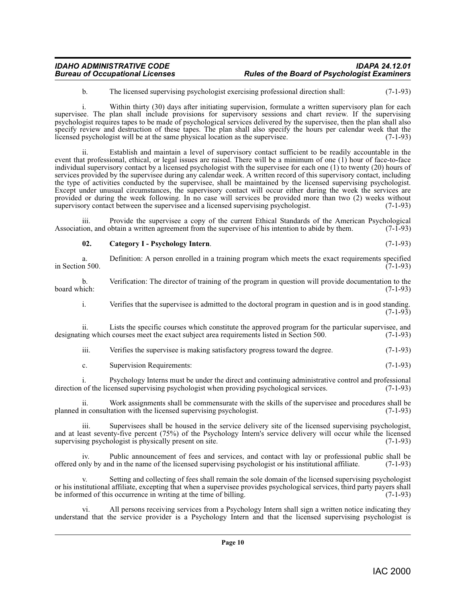b. The licensed supervising psychologist exercising professional direction shall: (7-1-93)

i. Within thirty (30) days after initiating supervision, formulate a written supervisory plan for each supervisee. The plan shall include provisions for supervisory sessions and chart review. If the supervising psychologist requires tapes to be made of psychological services delivered by the supervisee, then the plan shall also specify review and destruction of these tapes. The plan shall also specify the hours per calendar week that the licensed nsvchologist will be at the same physical location as the supervisee. (7-1-93) licensed psychologist will be at the same physical location as the supervisee.

ii. Establish and maintain a level of supervisory contact sufficient to be readily accountable in the event that professional, ethical, or legal issues are raised. There will be a minimum of one (1) hour of face-to-face individual supervisory contact by a licensed psychologist with the supervisee for each one (1) to twenty (20) hours of services provided by the supervisee during any calendar week. A written record of this supervisory contact, including the type of activities conducted by the supervisee, shall be maintained by the licensed supervising psychologist. Except under unusual circumstances, the supervisory contact will occur either during the week the services are provided or during the week following. In no case will services be provided more than two (2) weeks without supervisory contact between the supervise and a licensed supervising psychologist. (7-1-93) supervisory contact between the supervisee and a licensed supervising psychologist.

iii. Provide the supervisee a copy of the current Ethical Standards of the American Psychological Association, and obtain a written agreement from the supervisee of his intention to abide by them. (7-1-93)

<span id="page-9-0"></span>**02. Category I - Psychology Intern**. (7-1-93)

a. Definition: A person enrolled in a training program which meets the exact requirements specified n 500. in Section 500. b. Verification: The director of training of the program in question will provide documentation to the board which: (7-1-93) board which: (7-1-93) i. Verifies that the supervisee is admitted to the doctoral program in question and is in good standing.  $(7-1-93)$ ii. Lists the specific courses which constitute the approved program for the particular supervisee, and designating which courses meet the exact subject area requirements listed in Section 500. (7-1-93) iii. Verifies the supervisee is making satisfactory progress toward the degree. (7-1-93) c. Supervision Requirements: (7-1-93) i. Psychology Interns must be under the direct and continuing administrative control and professional of the licensed supervising psychologist when providing psychological services. (7-1-93) direction of the licensed supervising psychologist when providing psychological services.

ii. Work assignments shall be commensurate with the skills of the supervisee and procedures shall be planned in consultation with the licensed supervising psychologist. (7-1-93)

iii. Supervisees shall be housed in the service delivery site of the licensed supervising psychologist, and at least seventy-five percent  $(75%)$  of the Psychology Intern's service delivery will occur while the licensed supervising psychologist is physically present on site.  $(7-1-93)$ supervising psychologist is physically present on site.

iv. Public announcement of fees and services, and contact with lay or professional public shall be nly by and in the name of the licensed supervising psychologist or his institutional affiliate. (7-1-93) offered only by and in the name of the licensed supervising psychologist or his institutional affiliate. (7-1-93)

Setting and collecting of fees shall remain the sole domain of the licensed supervising psychologist or his institutional affiliate, excepting that when a supervisee provides psychological services, third party payers shall<br>be informed of this occurrence in writing at the time of billing. (7-1-93) be informed of this occurrence in writing at the time of billing.

vi. All persons receiving services from a Psychology Intern shall sign a written notice indicating they understand that the service provider is a Psychology Intern and that the licensed supervising psychologist is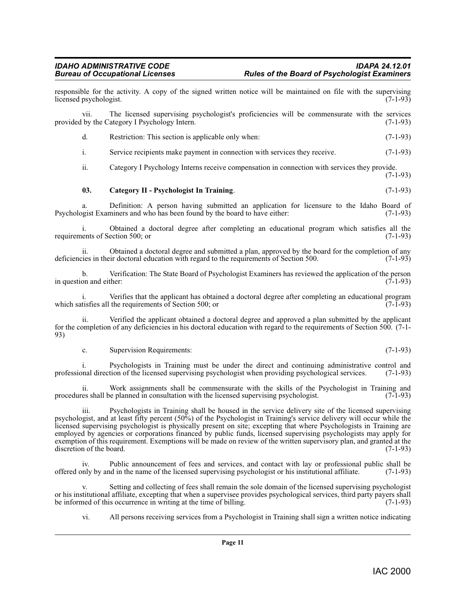responsible for the activity. A copy of the signed written notice will be maintained on file with the supervising licensed psychologist. (7-1-93) licensed psychologist.

vii. The licensed supervising psychologist's proficiencies will be commensurate with the services by the Category I Psychology Intern. (7-1-93) provided by the Category I Psychology Intern.

d. Restriction: This section is applicable only when: (7-1-93)

i. Service recipients make payment in connection with services they receive. (7-1-93)

ii. Category I Psychology Interns receive compensation in connection with services they provide. (7-1-93)

#### <span id="page-10-0"></span>**03. Category II - Psychologist In Training**. (7-1-93)

a. Definition: A person having submitted an application for licensure to the Idaho Board of opeist Examiners and who has been found by the board to have either: (7-1-93) Psychologist Examiners and who has been found by the board to have either:

i. Obtained a doctoral degree after completing an educational program which satisfies all the requirements of Section 500; or

ii. Obtained a doctoral degree and submitted a plan, approved by the board for the completion of any cies in their doctoral education with regard to the requirements of Section 500. (7-1-93) deficiencies in their doctoral education with regard to the requirements of Section 500.

b. Verification: The State Board of Psychologist Examiners has reviewed the application of the person in question and either:

i. Verifies that the applicant has obtained a doctoral degree after completing an educational program tisfies all the requirements of Section 500; or which satisfies all the requirements of Section 500; or

ii. Verified the applicant obtained a doctoral degree and approved a plan submitted by the applicant for the completion of any deficiencies in his doctoral education with regard to the requirements of Section 500. (7-1- 93)

c. Supervision Requirements: (7-1-93)

i. Psychologists in Training must be under the direct and continuing administrative control and direction of the licensed supervising psychologist when providing psychological services. (7-1-93) professional direction of the licensed supervising psychologist when providing psychological services.

ii. Work assignments shall be commensurate with the skills of the Psychologist in Training and es shall be planned in consultation with the licensed supervising psychologist.  $(7-1-93)$ procedures shall be planned in consultation with the licensed supervising psychologist.

iii. Psychologists in Training shall be housed in the service delivery site of the licensed supervising psychologist, and at least fifty percent (50%) of the Psychologist in Training's service delivery will occur while the licensed supervising psychologist is physically present on site; excepting that where Psychologists in Training are employed by agencies or corporations financed by public funds, licensed supervising psychologists may apply for exemption of this requirement. Exemptions will be made on review of the written supervisory plan, and granted at the discretion of the board. (7-1-93)

Public announcement of fees and services, and contact with lay or professional public shall be nd in the name of the licensed supervising psychologist or his institutional affiliate. (7-1-93) offered only by and in the name of the licensed supervising psychologist or his institutional affiliate.

Setting and collecting of fees shall remain the sole domain of the licensed supervising psychologist or his institutional affiliate, excepting that when a supervisee provides psychological services, third party payers shall<br>be informed of this occurrence in writing at the time of billing. (7-1-93) be informed of this occurrence in writing at the time of billing.

vi. All persons receiving services from a Psychologist in Training shall sign a written notice indicating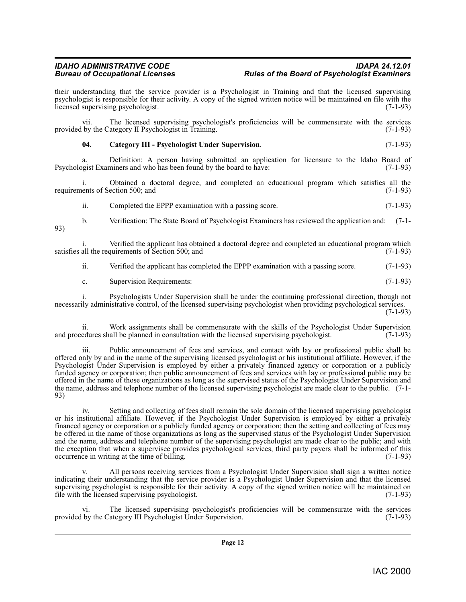their understanding that the service provider is a Psychologist in Training and that the licensed supervising psychologist is responsible for their activity. A copy of the signed written notice will be maintained on file with the licensed supervising psychologist. (7-1-93)

vii. The licensed supervising psychologist's proficiencies will be commensurate with the services provided by the Category II Psychologist in Training. (7-1-93)

#### <span id="page-11-0"></span>**04. Category III - Psychologist Under Supervision**. (7-1-93)

a. Definition: A person having submitted an application for licensure to the Idaho Board of opeist Examiners and who has been found by the board to have: (7-1-93) Psychologist Examiners and who has been found by the board to have:

i. Obtained a doctoral degree, and completed an educational program which satisfies all the requirements of Section 500; and

ii. Completed the EPPP examination with a passing score. (7-1-93)

b. Verification: The State Board of Psychologist Examiners has reviewed the application and: (7-1- 93)

i. Verified the applicant has obtained a doctoral degree and completed an educational program which all the requirements of Section 500; and (7-1-93) satisfies all the requirements of Section 500; and

ii. Verified the applicant has completed the EPPP examination with a passing score. (7-1-93)

c. Supervision Requirements: (7-1-93)

i. Psychologists Under Supervision shall be under the continuing professional direction, though not necessarily administrative control, of the licensed supervising psychologist when providing psychological services. (7-1-93)

ii. Work assignments shall be commensurate with the skills of the Psychologist Under Supervision edures shall be planned in consultation with the licensed supervising psychologist. (7-1-93) and procedures shall be planned in consultation with the licensed supervising psychologist.

iii. Public announcement of fees and services, and contact with lay or professional public shall be offered only by and in the name of the supervising licensed psychologist or his institutional affiliate. However, if the Psychologist Under Supervision is employed by either a privately financed agency or corporation or a publicly funded agency or corporation; then public announcement of fees and services with lay or professional public may be offered in the name of those organizations as long as the supervised status of the Psychologist Under Supervision and the name, address and telephone number of the licensed supervising psychologist are made clear to the public. (7-1- 93)

iv. Setting and collecting of fees shall remain the sole domain of the licensed supervising psychologist or his institutional affiliate. However, if the Psychologist Under Supervision is employed by either a privately financed agency or corporation or a publicly funded agency or corporation; then the setting and collecting of fees may be offered in the name of those organizations as long as the supervised status of the Psychologist Under Supervision and the name, address and telephone number of the supervising psychologist are made clear to the public; and with the exception that when a supervisee provides psychological services, third party payers shall be informed of this occurrence in writing at the time of billing. (7-1-93) occurrence in writing at the time of billing.

All persons receiving services from a Psychologist Under Supervision shall sign a written notice indicating their understanding that the service provider is a Psychologist Under Supervision and that the licensed supervising psychologist is responsible for their activity. A copy of the signed written notice will be maintained on file with the licensed supervising psychologist. (7-1-93)

The licensed supervising psychologist's proficiencies will be commensurate with the services ategory III Psychologist Under Supervision. (7-1-93) provided by the Category III Psychologist Under Supervision.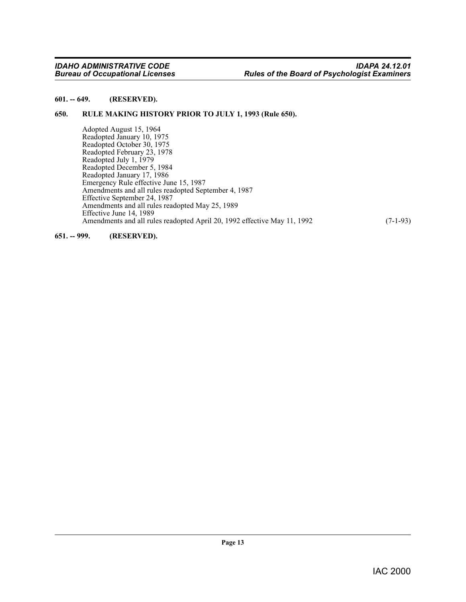#### <span id="page-12-0"></span>**601. -- 649. (RESERVED).**

#### <span id="page-12-1"></span>**650. RULE MAKING HISTORY PRIOR TO JULY 1, 1993 (Rule 650).**

<span id="page-12-3"></span>Adopted August 15, 1964 Readopted January 10, 1975 Readopted October 30, 1975 Readopted February 23, 1978 Readopted July 1, 1979 Readopted December 5, 1984 Readopted January 17, 1986 Emergency Rule effective June 15, 1987 Amendments and all rules readopted September 4, 1987 Effective September 24, 1987 Amendments and all rules readopted May 25, 1989 Effective June 14, 1989 Amendments and all rules readopted April 20, 1992 effective May 11, 1992 (7-1-93)

<span id="page-12-2"></span>**651. -- 999. (RESERVED).**